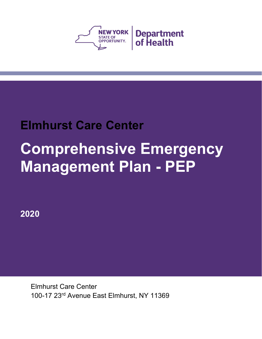

## **Elmhurst Care Center**

# **Comprehensive Emergency Management Plan - PEP**

**2020**

Elmhurst Care Center 100-17 23rd Avenue East Elmhurst, NY 11369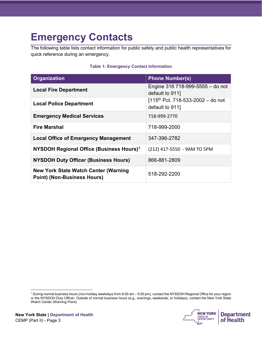## **Emergency Contacts**

The following table lists contact information for public safety and public health representatives for quick reference during an emergency.

#### **Table 1: Emergency Contact Information**

| <b>Organization</b>                                                               | <b>Phone Number(s)</b>                                    |
|-----------------------------------------------------------------------------------|-----------------------------------------------------------|
| <b>Local Fire Department</b>                                                      | Engine 316 718-999-5555 - do not<br>default to 911]       |
| <b>Local Police Department</b>                                                    | $[115^{th}$ Pct. 718-533-2002 – do not<br>default to 9111 |
| <b>Emergency Medical Services</b>                                                 | 718-999-2770                                              |
| <b>Fire Marshal</b>                                                               | 718-999-2000                                              |
| <b>Local Office of Emergency Management</b>                                       | 347-396-2782                                              |
| NYSDOH Regional Office (Business Hours) <sup>1</sup>                              | (212) 417-5550 - 9AM TO 5PM                               |
| <b>NYSDOH Duty Officer (Business Hours)</b>                                       | 866-881-2809                                              |
| <b>New York State Watch Center (Warning</b><br><b>Point) (Non-Business Hours)</b> | 518-292-2200                                              |

l

<span id="page-2-0"></span><sup>1</sup> During normal business hours (non-holiday weekdays from 8:00 am – 5:00 pm), contact the NYSDOH Regional Office for your region or the NYSDOH Duty Officer. Outside of normal business hours (e.g., evenings, weekends, or holidays), contact the New York State Watch Center (Warning Point).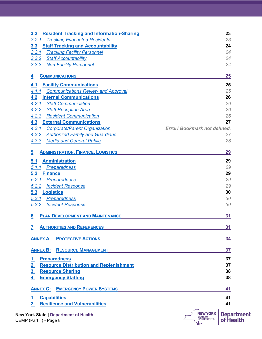| <b>Resident Tracking and Information-Sharing</b><br>3.2     | 23                                                                             |
|-------------------------------------------------------------|--------------------------------------------------------------------------------|
| 3.2.1<br><b>Tracking Evacuated Residents</b>                | 23                                                                             |
| 3.3<br><b>Staff Tracking and Accountability</b>             | 24                                                                             |
| 3.3.1<br><b>Tracking Facility Personnel</b>                 | 24                                                                             |
| 3.3.2<br><b>Staff Accountability</b>                        | 24                                                                             |
| 3.3.3<br><b>Non-Facility Personnel</b>                      | 24                                                                             |
| <b>COMMUNICATIONS</b><br>4                                  | 25                                                                             |
| <b>Facility Communications</b><br><u>4.1</u>                | 25                                                                             |
| 4.1.1<br><b>Communications Review and Approval</b>          | 25                                                                             |
| <b>Internal Communications</b><br>4.2                       | 26                                                                             |
| 4.2.1<br><b>Staff Communication</b>                         | 26                                                                             |
| 4.2.2 Staff Reception Area                                  | 26                                                                             |
| <b>Resident Communication</b><br>4.2.3                      | 26                                                                             |
| <b>4.3 External Communications</b>                          | 27                                                                             |
| <b>Corporate/Parent Organization</b><br>4.3.1               | <b>Error! Bookmark not defined.</b>                                            |
| 4.3.2<br><b>Authorized Family and Guardians</b>             | 27                                                                             |
| 4.3.3<br><b>Media and General Public</b>                    | 28                                                                             |
| <b>ADMINISTRATION, FINANCE, LOGISTICS</b><br>$\overline{5}$ | 29                                                                             |
| <b>Administration</b><br>5.1                                | 29                                                                             |
| 5.1.1<br><b>Preparedness</b>                                | 29                                                                             |
| 5.2<br><b>Finance</b>                                       | 29                                                                             |
| 5.2.1 Preparedness                                          | 29                                                                             |
| 5.2.2<br><b>Incident Response</b>                           | 29                                                                             |
| 5.3 Logistics                                               | 30                                                                             |
| <u>5.3.1</u><br><b>Preparedness</b>                         | 30                                                                             |
| 5.3.2<br><b>Incident Response</b>                           | 30                                                                             |
| <b>PLAN DEVELOPMENT AND MAINTENANCE</b><br>$6 \overline{6}$ | <u>31</u>                                                                      |
| <b>AUTHORITIES AND REFERENCES</b><br>7                      | 31                                                                             |
|                                                             |                                                                                |
| <b>ANNEX A: PROTECTIVE ACTIONS</b>                          | 34                                                                             |
| <b>RESOURCE MANAGEMENT</b><br><b>ANNEX B:</b>               | 37                                                                             |
| <b>Preparedness</b><br><u>1.</u>                            | 37                                                                             |
| 2.<br><b>Resource Distribution and Replenishment</b>        | 37                                                                             |
| <b>Resource Sharing</b><br>$\underline{3}$ .                | 38                                                                             |
| <b>Emergency Staffing</b><br>4.                             | 38                                                                             |
| <b>ANNEX C: EMERGENCY POWER SYSTEMS</b>                     | 41                                                                             |
| <b>Capabilities</b><br><u>1.</u>                            | 41                                                                             |
| <b>Resilience and Vulnerabilities</b><br>2.                 | 41                                                                             |
|                                                             |                                                                                |
| <b>New York State   Department of Health</b>                | <b>NEW YORK</b><br><b>Department</b><br><b>STATE OF</b><br><b>OPPORTUNITY.</b> |
| CEMP (Part II) - Page 8                                     | of Health                                                                      |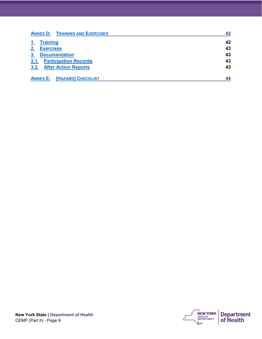| <b>ANNEX D: TRAINING AND EXERCISES</b> | 42 |
|----------------------------------------|----|
| <b>Training</b>                        | 42 |
| <b>Exercises</b><br>2.                 | 43 |
| <b>Documentation</b><br>3 <sub>o</sub> | 43 |
| <b>Participation Records</b><br>3.1.   | 43 |
| 3.2.<br><b>After Action Reports</b>    | 43 |
|                                        |    |
| <b>ANNEX E: [HAZARD] CHECKLIST</b>     | 44 |

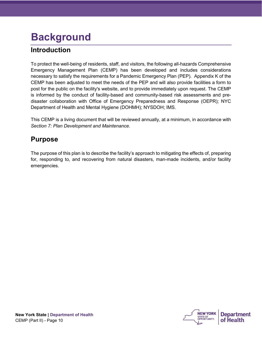## **Background**

## **Introduction**

To protect the well-being of residents, staff, and visitors, the following all-hazards Comprehensive Emergency Management Plan (CEMP) has been developed and includes considerations necessary to satisfy the requirements for a Pandemic Emergency Plan (PEP). Appendix K of the CEMP has been adjusted to meet the needs of the PEP and will also provide facilities a form to post for the public on the facility's website, and to provide immediately upon request. The CEMP is informed by the conduct of facility-based and community-based risk assessments and predisaster collaboration with Office of Emergency Preparedness and Response (OEPR); NYC Department of Health and Mental Hygiene (DOHMH); NYSDOH; IMS.

This CEMP is a living document that will be reviewed annually, at a minimum, in accordance with *Section 7: Plan Development and Maintenance*.

## **Purpose**

The purpose of this plan is to describe the facility's approach to mitigating the effects of, preparing for, responding to, and recovering from natural disasters, man-made incidents, and/or facility emergencies.

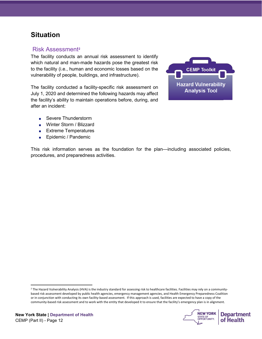### **Situation**

#### Risk Assessment**[2](#page-11-0)**

The facility conducts an annual risk assessment to identify which natural and man-made hazards pose the greatest risk to the facility (i.e., human and economic losses based on the vulnerability of people, buildings, and infrastructure).

The facility conducted a facility-specific risk assessment on July 1, 2020 and determined the following hazards may affect the facility's ability to maintain operations before, during, and after an incident:



- Severe Thunderstorm
- **Number Storm / Blizzard**
- **Extreme Temperatures**
- **Epidemic / Pandemic**

This risk information serves as the foundation for the plan—including associated policies, procedures, and preparedness activities.

<span id="page-11-0"></span><sup>&</sup>lt;sup>2</sup> The Hazard Vulnerability Analysis (HVA) is the industry standard for assessing risk to healthcare facilities. Facilities may rely on a communitybased risk assessment developed by public health agencies, emergency management agencies, and Health Emergency Preparedness Coalition or in conjunction with conducting its own facility-based assessment. If this approach is used, facilities are expected to have a copy of the community-based risk assessment and to work with the entity that developed it to ensure that the facility's emergency plan is in alignment.

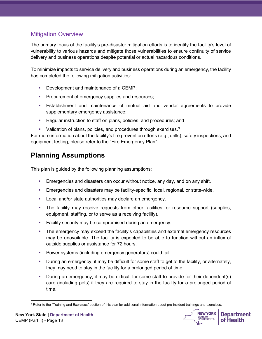### Mitigation Overview

The primary focus of the facility's pre-disaster mitigation efforts is to identify the facility's level of vulnerability to various hazards and mitigate those vulnerabilities to ensure continuity of service delivery and business operations despite potential or actual hazardous conditions.

To minimize impacts to service delivery and business operations during an emergency, the facility has completed the following mitigation activities:

- Development and maintenance of a CEMP;
- **Procurement of emergency supplies and resources;**
- Establishment and maintenance of mutual aid and vendor agreements to provide supplementary emergency assistance;
- Regular instruction to staff on plans, policies, and procedures; and
- Validation of plans, policies, and procedures through exercises.<sup>[3](#page-12-0)</sup>

For more information about the facility's fire prevention efforts (e.g., drills), safety inspections, and equipment testing, please refer to the "Fire Emergency Plan".

## **Planning Assumptions**

This plan is guided by the following planning assumptions:

- **Emergencies and disasters can occur without notice, any day, and on any shift.**
- **Emergencies and disasters may be facility-specific, local, regional, or state-wide.**
- **Local and/or state authorities may declare an emergency.**
- The facility may receive requests from other facilities for resource support (supplies, equipment, staffing, or to serve as a receiving facility).
- **Facility security may be compromised during an emergency.**
- The emergency may exceed the facility's capabilities and external emergency resources may be unavailable. The facility is expected to be able to function without an influx of outside supplies or assistance for 72 hours.
- Power systems (including emergency generators) could fail.
- During an emergency, it may be difficult for some staff to get to the facility, or alternately, they may need to stay in the facility for a prolonged period of time.
- During an emergency, it may be difficult for some staff to provide for their dependent(s) care (including pets) if they are required to stay in the facility for a prolonged period of time.



<span id="page-12-0"></span>l <sup>3</sup> Refer to the "Training and Exercises" section of this plan for additional information about pre-incident trainings and exercises.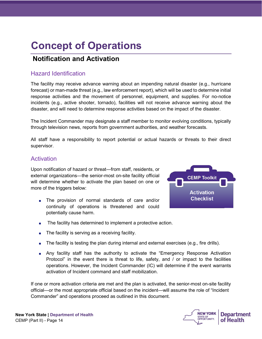## **Concept of Operations**

## **Notification and Activation**

#### Hazard Identification

The facility may receive advance warning about an impending natural disaster (e.g., hurricane forecast) or man-made threat (e.g., law enforcement report), which will be used to determine initial response activities and the movement of personnel, equipment, and supplies. For no-notice incidents (e.g., active shooter, tornado), facilities will not receive advance warning about the disaster, and will need to determine response activities based on the impact of the disaster.

The Incident Commander may designate a staff member to monitor evolving conditions, typically through television news, reports from government authorities, and weather forecasts.

All staff have a responsibility to report potential or actual hazards or threats to their direct supervisor.

#### **Activation**

Upon notification of hazard or threat—from staff, residents, or external organizations—the senior-most on-site facility official will determine whether to activate the plan based on one or more of the triggers below:

The provision of normal standards of care and/or continuity of operations is threatened and could potentially cause harm.



- The facility has determined to implement a protective action.
- The facility is serving as a receiving facility.
- The facility is testing the plan during internal and external exercises (e.g., fire drills).
- Any facility staff has the authority to activate the "Emergency Response Activation Protocol" in the event there is threat to life, safety, and / or impact to the facilities operations. However, the Incident Commander (IC) will determine if the event warrants activation of Incident command and staff mobilization.

If one or more activation criteria are met and the plan is activated, the senior-most on-site facility official—or the most appropriate official based on the incident—will assume the role of "Incident Commander" and operations proceed as outlined in this document.

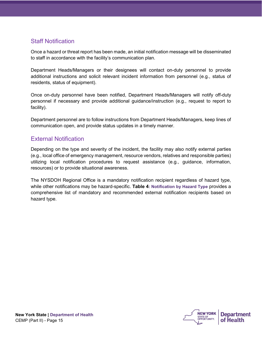| <b>Resident Tracking and Information- Sharing</b><br>3.2              | 23                                                                       |
|-----------------------------------------------------------------------|--------------------------------------------------------------------------|
| 3.2.1<br><b>Tracking Evacuated Residents</b>                          | 23                                                                       |
| 3.3<br><b>Staff Tracking and Accountability</b>                       | 24                                                                       |
| <b>Tracking Facility Personnel</b><br>3.3.1                           | 24                                                                       |
| 3.3.2<br><b>Staff Accountability</b>                                  | 24                                                                       |
| 3.3.3<br><b>Non-Facility Personnel</b>                                | 24                                                                       |
| <b>COMMUNICATIONS</b><br>4                                            | 25                                                                       |
| <b>Facility Communications</b><br>4.1                                 | 25                                                                       |
| 4.1.1<br><b>Communications Review and Approval</b>                    | 25                                                                       |
| <b>Internal Communications</b><br>4.2                                 | 26                                                                       |
| 4.2.1<br><b>Staff Communication</b>                                   | 26                                                                       |
| 4.2.2<br><b>Staff Reception Area</b>                                  | 26                                                                       |
| <b>Resident Communication</b><br>4.2.3                                | 26                                                                       |
| <b>External Communications</b><br><u>4.3</u>                          | 27                                                                       |
| 4.3.1<br><b>Corporate/Parent Organization</b>                         | Error! Bookmark not defined.                                             |
| 4.3.2<br><b>Authorized Family and Guardians</b>                       | 27                                                                       |
| 4.3.3<br><b>Media and General Public</b>                              | 28                                                                       |
| <b>ADMINISTRATION, FINANCE, LOGISTICS</b><br>$\overline{5}$           | <u>29</u>                                                                |
| <b>Administration</b><br>5.1                                          | 29                                                                       |
| 5.1.1<br>Preparedness                                                 | 29                                                                       |
| 5.2<br><b>Finance</b>                                                 | 29                                                                       |
| 5.2.1<br>Preparedness                                                 | 29                                                                       |
| 5.2.2<br><b>Incident Response</b>                                     | 29                                                                       |
| 5.3<br><b>Logistics</b>                                               | 30                                                                       |
| 5.3.1<br><b>Preparedness</b>                                          | 30                                                                       |
| <b>Incident Response</b><br>5.3.2                                     | 30                                                                       |
|                                                                       |                                                                          |
| <b>PLAN DEVELOPMENT AND MAINTENANCE</b><br>$\underline{6}$            | 31                                                                       |
| <b>AUTHORITIES AND REFERENCES</b><br>7                                | 31                                                                       |
|                                                                       |                                                                          |
| <b>PROTECTIVE ACTIONS</b><br>ANNE A:                                  | 34                                                                       |
| <b>RESOURCE MANAGEMENT</b><br>ANNE B:                                 | 37                                                                       |
| <b>Preparedness</b><br><u>1.</u>                                      | 37                                                                       |
| 2.<br><b>Resource Distribution and Replenishment</b>                  | 37                                                                       |
| $\underline{3}$ .<br><b>Resource Sharing</b>                          | 38                                                                       |
| <b>Emergency Staffing</b><br>4.                                       | 38                                                                       |
| ANNE C: EMERGENCY POWER SYSTEMS                                       | 41                                                                       |
| <b>Capabilities</b><br>1.                                             | 41                                                                       |
| <b>Resilience and Vulnerabilities</b><br><u>2.</u>                    | 41                                                                       |
|                                                                       | <b>NEW YORK</b>                                                          |
| New York State Department of Health<br><b>CEMP (Part II) - Page 8</b> | <b>Department</b><br><b>STATE OF</b><br><b>OPPORTUNITY.</b><br>of Health |
|                                                                       |                                                                          |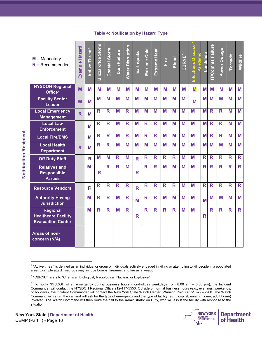#### **Table 4: Notification by Hazard Type**

| $M =$ Mandatory<br>$R =$ Recommended                                      | <b>Example Hazard</b>   | <b>Active Threat<sup>4</sup></b> | <b>Blizzard/Ice Storm</b> | <b>Coastal Storm</b>    | Dam Failure             | <b>Nater Disruption</b> | Earthquake   | <b>Extreme Cold</b>     | Extreme Heat            | Fire | Flood        | CBRNE <sup>5</sup> | lectious Disease<br>Pandemo | Landslide               | <b>T/Comms Failure</b> | Power Outage            | <b>Tornado</b> | Wildfire                |
|---------------------------------------------------------------------------|-------------------------|----------------------------------|---------------------------|-------------------------|-------------------------|-------------------------|--------------|-------------------------|-------------------------|------|--------------|--------------------|-----------------------------|-------------------------|------------------------|-------------------------|----------------|-------------------------|
| <b>NYSDOH Regional</b><br>Office <sup>6</sup>                             | M                       | M                                | M                         | M                       | M                       | M                       | M            | M                       | M                       | M    | M            | M                  | M                           | M                       | M                      | M                       | M              | M                       |
| <b>Facility Senior</b><br><b>Leader</b>                                   | M                       | M                                | M                         | M                       | M                       | M                       | M            | M                       | M                       | M    | M            | M                  | M                           | M                       | M                      | M                       | M              | M                       |
| <b>Local Emergency</b><br><b>Management</b>                               | $\overline{\mathsf{R}}$ | M                                | R                         | R.                      | M                       | R                       | M            | M                       | M                       | M    | M            | M                  | M                           | M                       | R                      | R                       | M              | M                       |
| <b>Local Law</b><br><b>Enforcement</b>                                    |                         | M                                | R                         | R.                      | M                       | R                       | M            | R                       | R                       | M    | M            | M                  | M                           | M                       | R                      | R                       | M              | M                       |
| <b>Local Fire/EMS</b>                                                     |                         | M                                | R                         | R                       | M                       | R                       | M            | R                       | R                       | M    | M            | M                  | M                           | M                       | R                      | R                       | M              | M                       |
| <b>Local Health</b><br><b>Department</b>                                  | $\overline{\mathsf{R}}$ | M                                | R.                        | R.                      | M                       | M                       | M            | M                       | M                       | M    | M            | M                  | M                           | M                       | M                      | M                       | M              | M                       |
| <b>Off Duty Staff</b>                                                     |                         | R.                               | M                         | M                       | R                       | M                       | R            | R                       | R                       | R.   | R            | M                  | M                           | R                       | R                      | R                       | R              | R                       |
| <b>Relatives and</b><br><b>Responsible</b><br><b>Parties</b>              |                         | M                                | $\mathsf{R}$              | $\overline{\mathsf{R}}$ | $\overline{\mathsf{R}}$ | M                       | R            | $\overline{\mathsf{R}}$ | $\overline{\mathsf{R}}$ | M    | M            | M                  | M                           | $\overline{\mathsf{R}}$ | R                      | $\overline{\mathsf{R}}$ | R              | $\overline{\mathsf{R}}$ |
| <b>Resource Vendors</b>                                                   |                         | $\mathsf{R}$                     | $\mathsf{R}$              | R.                      | R                       | R                       | $\mathsf{R}$ | R                       | R                       | R    | $\mathsf{R}$ | M                  | M                           | R                       | R                      | R                       | $\mathsf{R}$   | $\overline{\mathsf{R}}$ |
| <b>Authority Having</b><br><b>Jurisdiction</b>                            |                         | M                                | $\mathsf{R}$              | R.                      | M                       | $\mathsf{R}$            | M            | R                       | R                       | M    | M            | M                  | M                           | M                       | M                      | M                       | M              | M                       |
| <b>Regional</b><br><b>Healthcare Facility</b><br><b>Evacuation Center</b> |                         | M                                | R.                        | R.                      | M                       | R                       | $\mathsf{R}$ | R                       | R                       | R    | R            | M                  | M                           | R                       | R                      | R                       | $\mathsf{R}$   | $\overline{\mathsf{R}}$ |
| Areas of non-<br>concern (N/A)                                            |                         |                                  |                           |                         |                         |                         |              |                         |                         |      |              |                    |                             |                         |                        |                         |                |                         |

<span id="page-15-0"></span><sup>4</sup> "Active threat" is defined as an individual or group of individuals actively engaged in killing or attempting to kill people in a populated area. Example attack methods may include bombs, firearms, and fire as a weapon.

<span id="page-15-2"></span> $6$  To notify NYSDOH of an emergency during business hours (non-holiday weekdays from 8:00 am  $-$  5:00 pm), the Incident Commander will contact the NYSDOH Regional Office 212-417-5550. Outside of normal business hours (e.g., evenings, weekends, or holidays), the Incident Commander will contact the New York State Watch Center (Warning Point) at 518-292-2200. The Watch Command will return the call and will ask for the type of emergency and the type of facility (e.g. hospital, nursing home, adult home) involved. The Watch Command will then route the call to the Administrator on Duty, who will assist the facility with response to the situation.



**New York State | Department of Health** CEMP (Part II) - Page 16

 $\overline{\phantom{a}}$ 

<span id="page-15-1"></span><sup>5</sup> "CBRNE" refers to "Chemical, Biological, Radiological, Nuclear, or Explosive"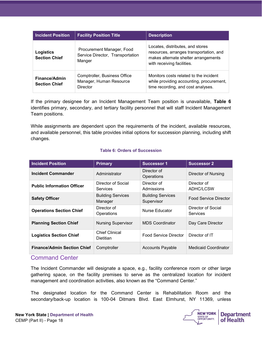| <b>Incident Position</b>                 | <b>Facility Position Title</b>                                          | <b>Description</b>                                                                                                                                |
|------------------------------------------|-------------------------------------------------------------------------|---------------------------------------------------------------------------------------------------------------------------------------------------|
| <b>Logistics</b><br><b>Section Chief</b> | Procurement Manager, Food<br>Service Director, Transportation<br>Manger | Locates, distributes, and stores<br>resources, arranges transportation, and<br>makes alternate shelter arrangements<br>with receiving facilities. |
| Finance/Admin<br><b>Section Chief</b>    | Comptroller, Business Office<br>Manager, Human Resource<br>Director     | Monitors costs related to the incident<br>while providing accounting, procurement,<br>time recording, and cost analyses.                          |

If the primary designee for an Incident Management Team position is unavailable, **[Table 6](#page-17-0)** identifies primary, secondary, and tertiary facility personnel that will staff Incident Management Team positions.

While assignments are dependent upon the requirements of the incident, available resources, and available personnel, this table provides initial options for succession planning, including shift changes.

#### **Table 6: Orders of Succession**

<span id="page-17-0"></span>

| <b>Incident Position</b>           | <b>Primary</b>                            | <b>Successor 1</b>                     | <b>Successor 2</b>             |
|------------------------------------|-------------------------------------------|----------------------------------------|--------------------------------|
| <b>Incident Commander</b>          | Administrator                             | Director of<br>Operations              | Director of Nursing            |
| <b>Public Information Officer</b>  | Director of Social<br>Services            | Director of<br>Admissions              | Director of<br>ADHC/LCSW       |
| <b>Safety Officer</b>              | <b>Building Services</b><br>Manager       | <b>Building Services</b><br>Supervisor | Food Service Director          |
| <b>Operations Section Chief</b>    | Director of<br>Operations                 | Nurse Educator                         | Director of Social<br>Services |
| <b>Planning Section Chief</b>      | <b>Nursing Supervisor</b>                 | <b>MDS Coordinator</b>                 | Day Care Director              |
| <b>Logistics Section Chief</b>     | <b>Chief Clinical</b><br><b>Dietitian</b> | <b>Food Service Director</b>           | Director of IT                 |
| <b>Finance/Admin Section Chief</b> | Comptroller                               | <b>Accounts Payable</b>                | Medicaid Coordinator           |

#### Command Center

The Incident Commander will designate a space, e.g., facility conference room or other large gathering space, on the facility premises to serve as the centralized location for incident management and coordination activities, also known as the "Command Center."

The designated location for the Command Center is Rehabilitation Room and the secondary/back-up location is 100-04 Ditmars Blvd. East Elmhurst, NY 11369, unless

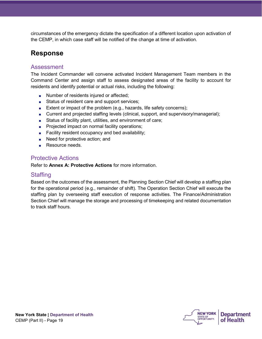circumstances of the emergency dictate the specification of a different location upon activation of the CEMP, in which case staff will be notified of the change at time of activation.

### **Response**

#### Assessment

The Incident Commander will convene activated Incident Management Team members in the Command Center and assign staff to assess designated areas of the facility to account for residents and identify potential or actual risks, including the following:

- Number of residents injured or affected;
- Status of resident care and support services;
- **Extent or impact of the problem (e.g., hazards, life safety concerns);**
- Current and projected staffing levels (clinical, support, and supervisory/managerial);
- Status of facility plant, utilities, and environment of care;
- **Projected impact on normal facility operations;**
- **Facility resident occupancy and bed availability;**
- Need for protective action; and
- Resource needs.

#### Protective Actions

Refer to **[Annex A:](#page-32-0) Protective Actions** for more information.

#### **Staffing**

Based on the outcomes of the assessment, the Planning Section Chief will develop a staffing plan for the operational period (e.g., remainder of shift). The Operation Section Chief will execute the staffing plan by overseeing staff execution of response activities. The Finance/Administration Section Chief will manage the storage and processing of timekeeping and related documentation to track staff hours.

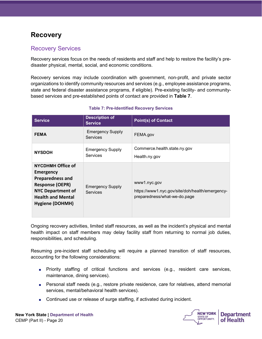### **Recovery**

#### Recovery Services

Recovery services focus on the needs of residents and staff and help to restore the facility's predisaster physical, mental, social, and economic conditions.

Recovery services may include coordination with government, non-profit, and private sector organizations to identify community resources and services (e.g., employee assistance programs, state and federal disaster assistance programs, if eligible). Pre-existing facility- and communitybased services and pre-established points of contact are provided in **[Table 7](#page-19-0)**.

<span id="page-19-0"></span>

| <b>Service</b>                                                                                                                                                                      | <b>Description of</b><br><b>Service</b>    | <b>Point(s) of Contact</b>                                                                      |
|-------------------------------------------------------------------------------------------------------------------------------------------------------------------------------------|--------------------------------------------|-------------------------------------------------------------------------------------------------|
| <b>FEMA</b>                                                                                                                                                                         | <b>Emergency Supply</b><br><b>Services</b> | FEMA.gov                                                                                        |
| <b>NYSDOH</b>                                                                                                                                                                       | <b>Emergency Supply</b><br><b>Services</b> | Commerce.health.state.ny.gov<br>Health.ny.gov                                                   |
| <b>NYCDHMH Office of</b><br><b>Emergency</b><br><b>Preparedness and</b><br><b>Response (OEPR)</b><br><b>NYC Department of</b><br><b>Health and Mental</b><br><b>Hygiene (DOHMH)</b> | <b>Emergency Supply</b><br><b>Services</b> | www1.nyc.gov<br>https://www1.nyc.gov/site/doh/health/emergency-<br>preparedness/what-we-do.page |

#### **Table 7: Pre-Identified Recovery Services**

Ongoing recovery activities, limited staff resources, as well as the incident's physical and mental health impact on staff members may delay facility staff from returning to normal job duties, responsibilities, and scheduling.

Resuming pre-incident staff scheduling will require a planned transition of staff resources, accounting for the following considerations:

- **Priority staffing of critical functions and services (e.g., resident care services,** maintenance, dining services).
- Personal staff needs (e.g., restore private residence, care for relatives, attend memorial services, mental/behavioral health services).
- Continued use or release of surge staffing, if activated during incident.

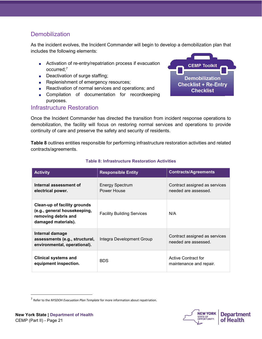#### **Demobilization**

As the incident evolves, the Incident Commander will begin to develop a demobilization plan that includes the following elements:

- **Activation of re-entry/repatriation process if evacuation** occurred;[7](#page-20-1)
- Deactivation of surge staffing;
- Replenishment of emergency resources;
- Reactivation of normal services and operations; and
- **Compilation of documentation for recordkeeping** purposes.

#### Infrastructure Restoration



Once the Incident Commander has directed the transition from incident response operations to demobilization, the facility will focus on restoring normal services and operations to provide continuity of care and preserve the safety and security of residents.

**[Table 8](#page-20-0)** outlines entities responsible for performing infrastructure restoration activities and related contracts/agreements.

<span id="page-20-0"></span>

| <b>Activity</b>                                                                                            | <b>Responsible Entity</b>         | <b>Contracts/Agreements</b>                           |
|------------------------------------------------------------------------------------------------------------|-----------------------------------|-------------------------------------------------------|
| Internal assessment of<br>electrical power.                                                                | Energy Spectrum<br>Power House    | Contract assigned as services<br>needed are assessed. |
| Clean-up of facility grounds<br>(e.g., general housekeeping,<br>removing debris and<br>damaged materials). | <b>Facility Building Services</b> | N/A                                                   |
| Internal damage<br>assessments (e.g., structural,<br>environmental, operational).                          | Integra Development Group         | Contract assigned as services<br>needed are assessed. |
| <b>Clinical systems and</b><br>equipment inspection.                                                       | <b>BDS</b>                        | Active Contract for<br>maintenance and repair.        |

#### **Table 8: Infrastructure Restoration Activities**



<span id="page-20-1"></span> <sup>7</sup> Refer to the *NYSDOH Evacuation Plan Template* for more information about repatriation.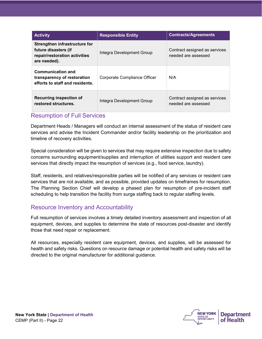| <b>Activity</b>                                                                                        | <b>Responsible Entity</b>    | <b>Contracts/Agreements</b>                          |
|--------------------------------------------------------------------------------------------------------|------------------------------|------------------------------------------------------|
| Strengthen infrastructure for<br>future disasters (if<br>repair/restoration activities<br>are needed). | Integra Development Group    | Contract assigned as services<br>needed are assessed |
| <b>Communication and</b><br>transparency of restoration<br>efforts to staff and residents.             | Corporate Compliance Officer | N/A                                                  |
| <b>Recurring inspection of</b><br>restored structures.                                                 | Integra Development Group    | Contract assigned as services<br>needed are assessed |

#### Resumption of Full Services

Department Heads / Managers will conduct an internal assessment of the status of resident care services and advise the Incident Commander and/or facility leadership on the prioritization and timeline of recovery activities.

Special consideration will be given to services that may require extensive inspection due to safety concerns surrounding equipment/supplies and interruption of utilities support and resident care services that directly impact the resumption of services (e.g., food service, laundry).

Staff, residents, and relatives/responsible parties will be notified of any services or resident care services that are not available, and as possible, provided updates on timeframes for resumption. The Planning Section Chief will develop a phased plan for resumption of pre-incident staff scheduling to help transition the facility from surge staffing back to regular staffing levels.

#### Resource Inventory and Accountability

Full resumption of services involves a timely detailed inventory assessment and inspection of all equipment, devices, and supplies to determine the state of resources post-disaster and identify those that need repair or replacement.

All resources, especially resident care equipment, devices, and supplies, will be assessed for health and safety risks. Questions on resource damage or potential health and safety risks will be directed to the original manufacturer for additional guidance.

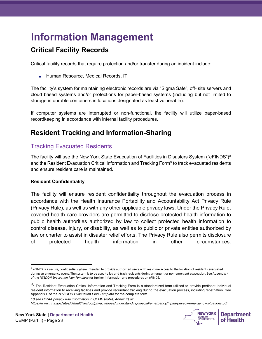## **Information Management**

## **Critical Facility Records**

Critical facility records that require protection and/or transfer during an incident include:

Human Resource, Medical Records, IT.

The facility's system for maintaining electronic records are via "Sigma Safe", off- site servers and cloud based systems and/or protections for paper-based systems (including but not limited to storage in durable containers in locations designated as least vulnerable).

If computer systems are interrupted or non-functional, the facility will utilize paper-based recordkeeping in accordance with internal facility procedures.

## <span id="page-22-0"></span>**Resident Tracking and Information-Sharing**

### <span id="page-22-1"></span>Tracking Evacuated Residents

The facility will use the New York State Evacuation of Facilities in Disasters System ("eFINDS")<sup>[8](#page-22-2)</sup> and the Resident Evacuation Critical Information and Tracking Form<sup>[9](#page-22-3)</sup> to track evacuated residents and ensure resident care is maintained.

#### **Resident Confidentiality**

The facility will ensure resident confidentiality throughout the evacuation process in accordance with the Health Insurance Portability and Accountability Act Privacy Rule (Privacy Rule), as well as with any other applicable privacy laws. Under the Privacy Rule, covered health care providers are permitted to disclose protected health information to public health authorities authorized by law to collect protected health information to control disease, injury, or disability, as well as to public or private entities authorized by law or charter to assist in disaster relief efforts. The Privacy Rule also permits disclosure of protected health information in other circumstances.



<span id="page-22-2"></span><sup>8</sup> eFINDS is a secure, confidential system intended to provide authorized users with real-time access to the location of residents evacuated during an emergency event. The system is to be used to log and track residents during an urgent or non-emergent evacuation. See Appendix K of the *NYSDOH Evacuation Plan Template* for further information and procedures on eFINDS.

<span id="page-22-3"></span> $9<sub>9</sub>$  The Resident Evacuation Critical Information and Tracking Form is a standardized form utilized to provide pertinent individual resident information to receiving facilities and provide redundant tracking during the evacuation process, including repatriation. See Appendix L of the *NYSDOH Evacuation Plan Template* for the complete form*.*

*<sup>10</sup> see HIPAA privacy rule information in CEMP toolkit, Annex K) or:* 

*https://www.hhs.gov/sites/default/files/ocr/privacy/hipaa/understanding/special/emergency/hipaa-privacy-emergency-situations.pdf*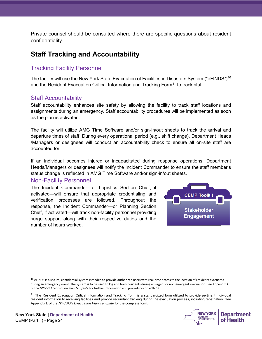Private counsel should be consulted where there are specific questions about resident confidentiality.

### <span id="page-23-0"></span>**Staff Tracking and Accountability**

#### <span id="page-23-1"></span>Tracking Facility Personnel

The facility will use the New York State Evacuation of Facilities in Disasters System ("eFINDS")<sup>[10](#page-23-4)</sup> and the Resident Evacuation Critical Information and Tracking Form<sup>[11](#page-23-5)</sup> to track staff.

#### <span id="page-23-2"></span>Staff Accountability

Staff accountability enhances site safety by allowing the facility to track staff locations and assignments during an emergency. Staff accountability procedures will be implemented as soon as the plan is activated.

The facility will utilize AMG Time Software and/or sign-in/out sheets to track the arrival and departure times of staff. During every operational period (e.g., shift change), Department Heads /Managers or designees will conduct an accountability check to ensure all on-site staff are accounted for.

If an individual becomes injured or incapacitated during response operations, Department Heads/Managers or designees will notify the Incident Commander to ensure the staff member's status change is reflected in AMG Time Software and/or sign-in/out sheets.

#### <span id="page-23-3"></span>Non-Facility Personnel

The Incident Commander—or Logistics Section Chief, if activated—will ensure that appropriate credentialing and verification processes are followed. Throughout the response, the Incident Commander—or Planning Section Chief, if activated—will track non-facility personnel providing surge support along with their respective duties and the number of hours worked.





<span id="page-23-4"></span><sup>&</sup>lt;sup>10</sup> eFINDS is a secure, confidential system intended to provide authorized users with real-time access to the location of residents evacuated during an emergency event. The system is to be used to log and track residents during an urgent or non-emergent evacuation. See Appendix K of the *NYSDOH Evacuation Plan Template* for further information and procedures on eFINDS.

<span id="page-23-5"></span><sup>&</sup>lt;sup>11</sup> The Resident Evacuation Critical Information and Tracking Form is a standardized form utilized to provide pertinent individual resident information to receiving facilities and provide redundant tracking during the evacuation process, including repatriation. See Appendix L of the *NYSDOH Evacuation Plan Template* for the complete form*.*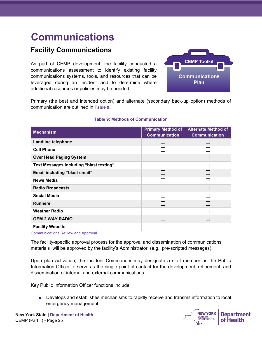## <span id="page-24-0"></span>**Communications**

## <span id="page-24-1"></span>**Facility Communications**

As part of CEMP development, the facility conducted a communications assessment to identify existing facility communications systems, tools, and resources that can be leveraged during an incident and to determine where additional resources or policies may be needed.



Primary (the best and intended option) and alternate (secondary back-up option) methods of communication are outlined in **[Table 9.](#page-24-3)**

<span id="page-24-3"></span>

| <b>Mechanism</b>                        | <b>Primary Method of</b><br><b>Communication</b> | <b>Alternate Method of</b><br><b>Communication</b> |  |  |
|-----------------------------------------|--------------------------------------------------|----------------------------------------------------|--|--|
| <b>Landline telephone</b>               |                                                  |                                                    |  |  |
| <b>Cell Phone</b>                       |                                                  |                                                    |  |  |
| <b>Over Head Paging System</b>          |                                                  |                                                    |  |  |
| Text Messages including "blast texting" |                                                  |                                                    |  |  |
| Email including "blast email"           |                                                  |                                                    |  |  |
| <b>News Media</b>                       |                                                  |                                                    |  |  |
| <b>Radio Broadcasts</b>                 |                                                  |                                                    |  |  |
| <b>Social Media</b>                     |                                                  |                                                    |  |  |
| <b>Runners</b>                          |                                                  |                                                    |  |  |
| <b>Weather Radio</b>                    |                                                  |                                                    |  |  |
| <b>OEM 2 WAY RADIO</b>                  |                                                  |                                                    |  |  |
| <b>Facility Website</b>                 |                                                  |                                                    |  |  |

#### **Table 9: Methods of Communication**

<span id="page-24-2"></span>Communications Review and Approval

The facility-specific approval process for the approval and dissemination of communications materials will be approved by the facility's Administrator (e.g., pre-scripted messages).

Upon plan activation, the Incident Commander may designate a staff member as the Public Information Officer to serve as the single point of contact for the development, refinement, and dissemination of internal and external communications.

Key Public Information Officer functions include:

 Develops and establishes mechanisms to rapidly receive and transmit information to local emergency management;

**New York State | Department of Health** CEMP (Part II) - Page 25

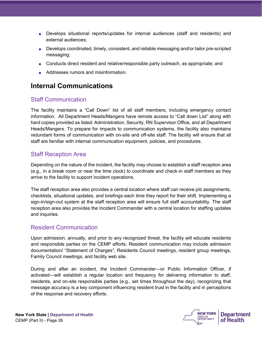### Recovery

#### **Recovery Services**

Recovery services focus on the needs of residents and staff and help to restore the facility's predisaster physical, mental, social, and economic conditions.

Recovery services may include coordination with government, profit, and private sector organizations to identify community resources and services (e.g., employee assistance programs, state and federal disaster assistance programs, if eligible). Devising facility and community based services and prestablished points of contact are provided in Table

| <b>Service</b>                                                                                                                            | Description of<br><b>Service</b>           | Point(s) of Contact                                                                           |
|-------------------------------------------------------------------------------------------------------------------------------------------|--------------------------------------------|-----------------------------------------------------------------------------------------------|
| <b>FEMA</b>                                                                                                                               | <b>Emergency Supply</b><br><b>Services</b> | FEMA.gov                                                                                      |
| <b>NYSDOH</b>                                                                                                                             | <b>Emergency Supply</b><br><b>Services</b> | Commerce.health.state.ny.gov<br>Health.ny.gov                                                 |
| NYCDHMH Office of<br>Emergency<br>Preparedness and<br>Response (OEPR)<br>NYC Department of<br><b>Health and Mental</b><br>Hygiene (DOHMH) | <b>Emergency Supply</b><br><b>Services</b> | www1.nyc.gov<br>https://www1.nyc.gov/site/doh/health/emergency<br>preparedness/whatwe-do.page |

|  |  |  | Table 7: Pre-Identified Recovery Services |
|--|--|--|-------------------------------------------|
|--|--|--|-------------------------------------------|

Ongoing recovery activities, limited staff resources, as well as the incident's physical and mental health impact on staff members may delay facility staff from returning to normal ob duties, responsibilities, and scheduling.

Resuming preincident staffscheduling will require a planned transition of staff resources, accounting for the following considerations:

- . Priority staffing of critical functions and services (e.g., resident care services, maintenance, dining services).
- **Personal staff needs (e.g., reserce private residence, care for relatives, attend memorial priority** services, mental/behavioral health services).
- Continued use or release of surge staffing, if activated during incident.



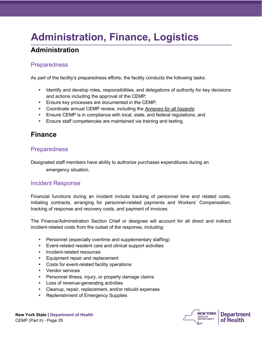## <span id="page-28-0"></span>**Administration, Finance, Logistics**

## <span id="page-28-1"></span>**Administration**

#### <span id="page-28-2"></span>**Preparedness**

As part of the facility's preparedness efforts, the facility conducts the following tasks:

- **IDENTIFY 19 IDENTIFY And develop roles, responsibilities, and delegations of authority for key decisions** and actions including the approval of the CEMP;
- **Ensure key processes are documented in the CEMP;**
- Coordinate annual CEMP review, including the *Annexes for all hazards*;
- **Ensure CEMP is in compliance with local, state, and federal regulations; and**
- Ensure staff competencies are maintained via training and testing.

## <span id="page-28-3"></span>**Finance**

#### <span id="page-28-4"></span>**Preparedness**

Designated staff members have ability to authorize purchases expenditures during an emergency situation.

#### <span id="page-28-5"></span>Incident Response

Financial functions during an incident include tracking of personnel time and related costs, initiating contracts, arranging for personnel-related payments and Workers' Compensation, tracking of response and recovery costs, and payment of invoices.

The Finance/Administration Section Chief or designee will account for all direct and indirect incident-related costs from the outset of the response, including:

- **Personnel (especially overtime and supplementary staffing)**
- Event-related resident care and clinical support activities
- **Incident-related resources**
- **Equipment repair and replacement**
- **Costs for event-related facility operations**
- **•** Vendor services
- **Personnel illness, injury, or property damage claims**
- **Loss of revenue-generating activities**
- Cleanup, repair, replacement, and/or rebuild expenses
- **Replenishment of Emergency Supplies**

**New York State | Department of Health** CEMP (Part II) - Page 29

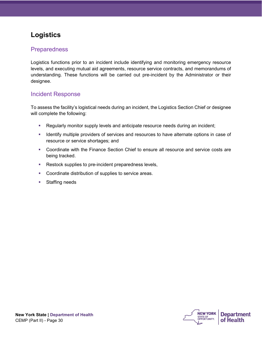## <span id="page-29-0"></span>**Logistics**

#### <span id="page-29-1"></span>**Preparedness**

Logistics functions prior to an incident include identifying and monitoring emergency resource levels, and executing mutual aid agreements, resource service contracts, and memorandums of understanding. These functions will be carried out pre-incident by the Administrator or their designee.

#### <span id="page-29-2"></span>Incident Response

To assess the facility's logistical needs during an incident, the Logistics Section Chief or designee will complete the following:

- **Regularly monitor supply levels and anticipate resource needs during an incident;**
- **IDENTIFY Multiple providers of services and resources to have alternate options in case of** resource or service shortages; and
- Coordinate with the Finance Section Chief to ensure all resource and service costs are being tracked.
- **Restock supplies to pre-incident preparedness levels,**
- **Coordinate distribution of supplies to service areas.**
- **Staffing needs**

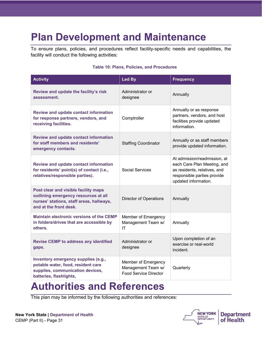## <span id="page-30-0"></span>**Plan Development and Maintenance**

To ensure plans, policies, and procedures reflect facility-specific needs and capabilities, the facility will conduct the following activities:

| <b>Activity</b>                                                                                                                                    | <b>Led By</b>                                                             | <b>Frequency</b>                                                                                                                                   |
|----------------------------------------------------------------------------------------------------------------------------------------------------|---------------------------------------------------------------------------|----------------------------------------------------------------------------------------------------------------------------------------------------|
| Review and update the facility's risk<br>assessment.                                                                                               | Administrator or<br>designee                                              | Annually                                                                                                                                           |
| <b>Review and update contact information</b><br>for response partners, vendors, and<br>receiving facilities.                                       | Comptroller                                                               | Annually or as response<br>partners, vendors, and host<br>facilities provide updated<br>information.                                               |
| <b>Review and update contact information</b><br>for staff members and residents'<br>emergency contacts.                                            | <b>Staffing Coordinator</b>                                               | Annually or as staff members<br>provide updated information.                                                                                       |
| <b>Review and update contact information</b><br>for residents' point(s) of contact (i.e.,<br>relatives/responsible parties).                       | <b>Social Services</b>                                                    | At admission/readmission, at<br>each Care Plan Meeting, and<br>as residents, relatives, and<br>responsible parties provide<br>updated information. |
| Post clear and visible facility maps<br>outlining emergency resources at all<br>nurses' stations, staff areas, hallways,<br>and at the front desk. | <b>Director of Operations</b>                                             | Annually                                                                                                                                           |
| <b>Maintain electronic versions of the CEMP</b><br>in folders/drives that are accessible by<br>others.                                             | Member of Emergency<br>Management Team w/<br>ΙT                           | Annually                                                                                                                                           |
| <b>Revise CEMP to address any identified</b><br>gaps.                                                                                              | Administrator or<br>designee                                              | Upon completion of an<br>exercise or real-world<br>incident.                                                                                       |
| Inventory emergency supplies (e.g.,<br>potable water, food, resident care<br>supplies, communication devices,<br>batteries, flashlights,           | Member of Emergency<br>Management Team w/<br><b>Food Service Director</b> | Quarterly                                                                                                                                          |

#### **Table 10: Plans, Policies, and Procedures**

## <span id="page-30-1"></span>**Authorities and References**

This plan may be informed by the following authorities and references:

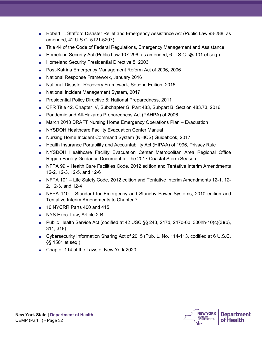- Robert T. Stafford Disaster Relief and Emergency Assistance Act (Public Law 93-288, as amended, 42 U.S.C. 5121-5207)
- Title 44 of the Code of Federal Regulations, Emergency Management and Assistance
- Homeland Security Act (Public Law 107-296, as amended, 6 U.S.C. §§ 101 et seq.)
- **Homeland Security Presidential Directive 5, 2003**
- Post-Katrina Emergency Management Reform Act of 2006, 2006
- National Response Framework, January 2016
- **National Disaster Recovery Framework, Second Edition, 2016**
- **National Incident Management System, 2017**
- **Presidential Policy Directive 8: National Preparedness, 2011**
- CFR Title 42, Chapter IV, Subchapter G, Part 483, Subpart B, Section 483.73, 2016
- **Pandemic and All-Hazards Preparedness Act (PAHPA) of 2006**
- **March 2018 DRAFT Nursing Home Emergency Operations Plan Evacuation**
- **NYSDOH Healthcare Facility Evacuation Center Manual**
- **Nursing Home Incident Command System (NHICS) Guidebook, 2017**
- Health Insurance Portability and Accountability Act (HIPAA) of 1996, Privacy Rule
- NYSDOH Healthcare Facility Evacuation Center Metropolitan Area Regional Office Region Facility Guidance Document for the 2017 Coastal Storm Season
- NFPA 99 Health Care Facilities Code, 2012 edition and Tentative Interim Amendments 12-2, 12-3, 12-5, and 12-6
- NFPA 101 Life Safety Code, 2012 edition and Tentative Interim Amendments 12-1, 12- 2, 12-3, and 12-4
- **NFPA 110 Standard for Emergency and Standby Power Systems, 2010 edition and** Tentative Interim Amendments to Chapter 7
- **10 NYCRR Parts 400 and 415**
- NYS Exec. Law, Article 2-B
- Public Health Service Act (codified at 42 USC  $\S$ § 243, 247d, 247d-6b, 300hh-10(c)(3)(b), 311, 319)
- Cybersecurity Information Sharing Act of 2015 (Pub. L. No. 114-113, codified at 6 U.S.C. §§ 1501 et seq.)
- Chapter 114 of the Laws of New York 2020.

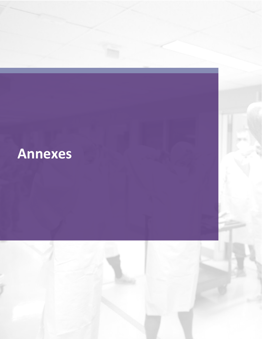## <span id="page-32-0"></span>**Annexes**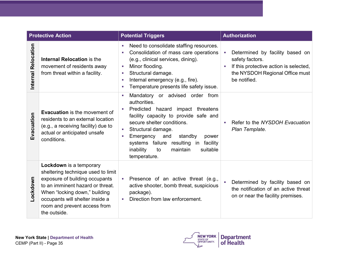| <b>Protective Action</b> |                                                                                                                                                                                                                                                         | <b>Potential Triggers</b>                                                                                                                                                                                                                                                                                                                                                                                                     | <b>Authorization</b>                                                                                                                                  |
|--------------------------|---------------------------------------------------------------------------------------------------------------------------------------------------------------------------------------------------------------------------------------------------------|-------------------------------------------------------------------------------------------------------------------------------------------------------------------------------------------------------------------------------------------------------------------------------------------------------------------------------------------------------------------------------------------------------------------------------|-------------------------------------------------------------------------------------------------------------------------------------------------------|
| Relocation<br>Internal   | <b>Internal Relocation is the</b><br>movement of residents away<br>from threat within a facility.                                                                                                                                                       | Need to consolidate staffing resources.<br>Consolidation of mass care operations<br>$\mathcal{L}_{\mathcal{A}}$<br>(e.g., clinical services, dining).<br>Minor flooding.<br>T.<br>Structural damage.<br>o.<br>Internal emergency (e.g., fire).<br>×,<br>Temperature presents life safety issue.                                                                                                                               | Determined by facility based on<br>×.<br>safety factors.<br>If this protective action is selected,<br>the NYSDOH Regional Office must<br>be notified. |
| Evacuation               | <b>Evacuation</b> is the movement of<br>residents to an external location<br>(e.g., a receiving facility) due to<br>actual or anticipated unsafe<br>conditions.                                                                                         | Mandatory or advised order from<br>authorities.<br>Predicted hazard impact threatens<br>$\mathcal{L}_{\mathcal{A}}$<br>facility capacity to provide safe and<br>secure shelter conditions.<br>Structural damage.<br>$\mathcal{L}_{\mathcal{A}}$<br>Emergency<br>standby<br>and<br>power<br>$\mathcal{L}_{\mathcal{A}}$<br>systems failure resulting in<br>facility<br>inability<br>to<br>maintain<br>suitable<br>temperature. | Refer to the NYSDOH Evacuation<br>Plan Template.                                                                                                      |
| Lockdown                 | Lockdown is a temporary<br>sheltering technique used to limit<br>exposure of building occupants<br>to an imminent hazard or threat.<br>When "locking down," building<br>occupants will shelter inside a<br>room and prevent access from<br>the outside. | Presence of an active threat (e.g.,<br>active shooter, bomb threat, suspicious<br>package).<br>Direction from law enforcement.<br>$\mathcal{L}_{\mathcal{A}}$                                                                                                                                                                                                                                                                 | Determined by facility based on<br>the notification of an active threat<br>on or near the facility premises.                                          |

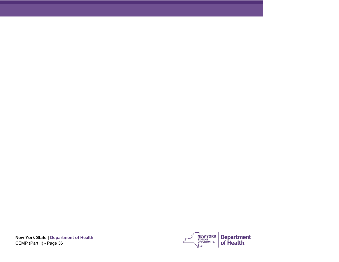**New York State | Department of Health** CEMP (Part II) - Page 36

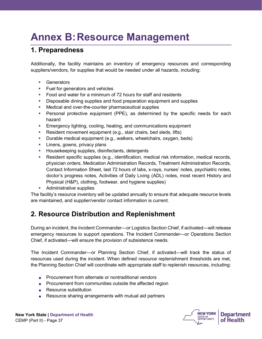## <span id="page-36-0"></span>**Annex B: Resource Management**

## <span id="page-36-1"></span>**1. Preparedness**

Additionally, the facility maintains an inventory of emergency resources and corresponding suppliers/vendors, for supplies that would be needed under all hazards, including:

- **Generators**
- **Fuel for generators and vehicles**
- Food and water for a minimum of 72 hours for staff and residents
- **-** Disposable dining supplies and food preparation equipment and supplies
- Medical and over-the-counter pharmaceutical supplies
- Personal protective equipment (PPE), as determined by the specific needs for each hazard
- **Emergency lighting, cooling, heating, and communications equipment**
- Resident movement equipment (e.g., stair chairs, bed sleds, lifts)
- **Durable medical equipment (e.g., walkers, wheelchairs, oxygen, beds)**
- **Linens, gowns, privacy plans**
- **Housekeeping supplies, disinfectants, detergents**
- Resident specific supplies (e.g., identification, medical risk information, medical records, physician orders, Medication Administration Records, Treatment Administration Records, Contact Information Sheet, last 72 hours of labs, x-rays, nurses' notes, psychiatric notes, doctor's progress notes, Activities of Daily Living (ADL) notes, most recent History and Physical (H&P), clothing, footwear, and hygiene supplies)
- **Administrative supplies**

The facility's resource inventory will be updated annually to ensure that adequate resource levels are maintained, and supplier/vendor contact information is current.

### <span id="page-36-2"></span>**2. Resource Distribution and Replenishment**

During an incident, the Incident Commander—or Logistics Section Chief, if activated—will release emergency resources to support operations. The Incident Commander—or Operations Section Chief, if activated—will ensure the provision of subsistence needs.

The Incident Commander—or Planning Section Chief, if activated—will track the status of resources used during the incident. When defined resource replenishment thresholds are met, the Planning Section Chief will coordinate with appropriate staff to replenish resources, including:

- **Procurement from alternate or nontraditional vendors**
- **Procurement from communities outside the affected region**
- **Resource substitution**
- Resource sharing arrangements with mutual aid partners



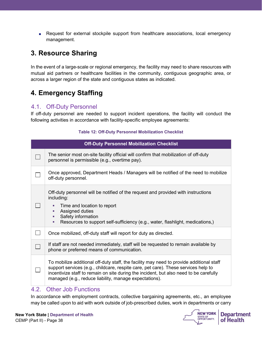Request for external stockpile support from healthcare associations, local emergency management.

## <span id="page-37-0"></span>**3. Resource Sharing**

In the event of a large-scale or regional emergency, the facility may need to share resources with mutual aid partners or healthcare facilities in the community, contiguous geographic area, or across a larger region of the state and contiguous states as indicated.

### <span id="page-37-1"></span>**4. Emergency Staffing**

#### 4.1. Off-Duty Personnel

If off-duty personnel are needed to support incident operations, the facility will conduct the following activities in accordance with facility-specific employee agreements:

#### **Table 12: Off-Duty Personnel Mobilization Checklist**

| <b>Off-Duty Personnel Mobilization Checklist</b>                                                                                                                                                                                                                                                                                   |
|------------------------------------------------------------------------------------------------------------------------------------------------------------------------------------------------------------------------------------------------------------------------------------------------------------------------------------|
| The senior most on-site facility official will confirm that mobilization of off-duty<br>personnel is permissible (e.g., overtime pay).                                                                                                                                                                                             |
| Once approved, Department Heads / Managers will be notified of the need to mobilize<br>off-duty personnel.                                                                                                                                                                                                                         |
| Off-duty personnel will be notified of the request and provided with instructions<br>including:<br>Time and location to report<br>п<br>Assigned duties<br>×<br>Safety information<br>п<br>Resources to support self-sufficiency (e.g., water, flashlight, medications,)<br>п                                                       |
| Once mobilized, off-duty staff will report for duty as directed.                                                                                                                                                                                                                                                                   |
| If staff are not needed immediately, staff will be requested to remain available by<br>phone or preferred means of communication.                                                                                                                                                                                                  |
| To mobilize additional off-duty staff, the facility may need to provide additional staff<br>support services (e.g., childcare, respite care, pet care). These services help to<br>incentivize staff to remain on site during the incident, but also need to be carefully<br>managed (e.g., reduce liability, manage expectations). |

#### 4.2. Other Job Functions

In accordance with employment contracts, collective bargaining agreements, etc., an employee may be called upon to aid with work outside of job-prescribed duties, work in departments or carry

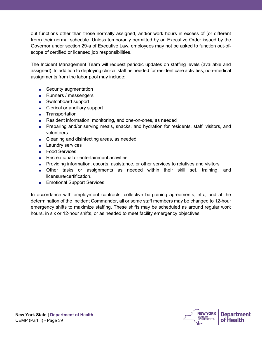out functions other than those normally assigned, and/or work hours in excess of (or different from) their normal schedule. Unless temporarily permitted by an Executive Order issued by the Governor under section 29-a of Executive Law, employees may not be asked to function out-ofscope of certified or licensed job responsibilities.

The Incident Management Team will request periodic updates on staffing levels (available and assigned). In addition to deploying clinical staff as needed for resident care activities, non-medical assignments from the labor pool may include:

- Security augmentation
- **Runners / messengers**
- Switchboard support
- **Clerical or ancillary support**
- **Transportation**
- Resident information, monitoring, and one-on-ones, as needed
- **Preparing and/or serving meals, snacks, and hydration for residents, staff, visitors, and** volunteers
- **Cleaning and disinfecting areas, as needed**
- **Laundry services**
- **Food Services**
- **Recreational or entertainment activities**
- Providing information, escorts, assistance, or other services to relatives and visitors
- Other tasks or assignments as needed within their skill set, training, and licensure/certification.
- **Emotional Support Services**

In accordance with employment contracts, collective bargaining agreements, etc., and at the determination of the Incident Commander, all or some staff members may be changed to 12-hour emergency shifts to maximize staffing. These shifts may be scheduled as around regular work hours, in six or 12-hour shifts, or as needed to meet facility emergency objectives.

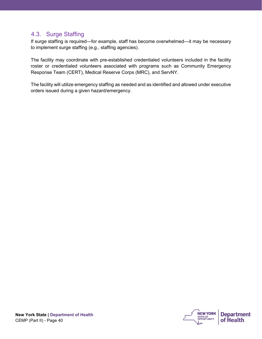#### 4.3. Surge Staffing

If surge staffing is required—for example, staff has become overwhelmed—it may be necessary to implement surge staffing (e.g., staffing agencies).

The facility may coordinate with pre-established credentialed volunteers included in the facility roster or credentialed volunteers associated with programs such as Community Emergency Response Team (CERT), Medical Reserve Corps (MRC), and ServNY.

The facility will utilize emergency staffing as needed and as identified and allowed under executive orders issued during a given hazard/emergency.

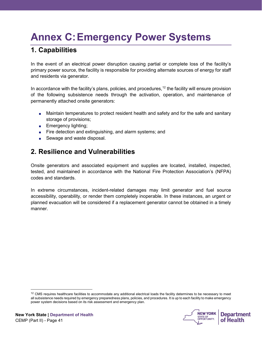## <span id="page-40-0"></span>**Annex C:Emergency Power Systems**

## <span id="page-40-1"></span>**1. Capabilities**

In the event of an electrical power disruption causing partial or complete loss of the facility's primary power source, the facility is responsible for providing alternate sources of energy for staff and residents via generator.

In accordance with the facility's plans, policies, and procedures,  $12$  the facility will ensure provision of the following subsistence needs through the activation, operation, and maintenance of permanently attached onsite generators:

- Maintain temperatures to protect resident health and safety and for the safe and sanitary storage of provisions;
- **Emergency lighting;**
- Fire detection and extinguishing, and alarm systems; and
- Sewage and waste disposal.

### <span id="page-40-2"></span>**2. Resilience and Vulnerabilities**

Onsite generators and associated equipment and supplies are located, installed, inspected, tested, and maintained in accordance with the National Fire Protection Association's (NFPA) codes and standards.

In extreme circumstances, incident-related damages may limit generator and fuel source accessibility, operability, or render them completely inoperable. In these instances, an urgent or planned evacuation will be considered if a replacement generator cannot be obtained in a timely manner.

<span id="page-40-3"></span> $12$  CMS requires healthcare facilities to accommodate any additional electrical loads the facility determines to be necessary to meet all subsistence needs required by emergency preparedness plans, policies, and procedures. It is up to each facility to make emergency power system decisions based on its risk assessment and emergency plan.



l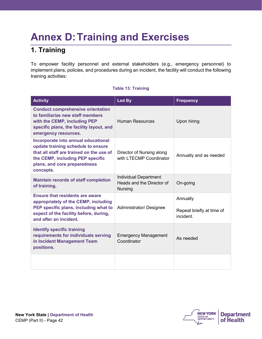## <span id="page-41-0"></span>**Annex D:Training and Exercises**

## <span id="page-41-1"></span>**1. Training**

To empower facility personnel and external stakeholders (e.g., emergency personnel) to implement plans, policies, and procedures during an incident, the facility will conduct the following training activities:

#### **Table 13: Training**

| <b>Activity</b>                                                                                                                                                                                        | Led By                                                                      | <b>Frequency</b>                                   |
|--------------------------------------------------------------------------------------------------------------------------------------------------------------------------------------------------------|-----------------------------------------------------------------------------|----------------------------------------------------|
| <b>Conduct comprehensive orientation</b><br>to familiarize new staff members<br>with the CEMP, including PEP<br>specific plans, the facility layout, and<br>emergency resources.                       | <b>Human Resources</b>                                                      | Upon hiring                                        |
| Incorporate into annual educational<br>update training schedule to ensure<br>that all staff are trained on the use of<br>the CEMP, including PEP specific<br>plans, and core preparedness<br>concepts. | Director of Nursing along<br>with LTECMP Coordinator                        | Annually and as needed                             |
| <b>Maintain records of staff completion</b><br>of training.                                                                                                                                            | <b>Individual Department</b><br>Heads and the Director of<br><b>Nursing</b> | On-going                                           |
| <b>Ensure that residents are aware</b><br>appropriately of the CEMP, including<br>PEP specific plans, including what to<br>expect of the facility before, during,<br>and after an incident.            | Administrator/Designee                                                      | Annually<br>Repeat briefly at time of<br>incident. |
| <b>Identify specific training</b><br>requirements for individuals serving<br>in Incident Management Team<br>positions.                                                                                 | <b>Emergency Management</b><br>Coordinator                                  | As needed                                          |
|                                                                                                                                                                                                        |                                                                             |                                                    |

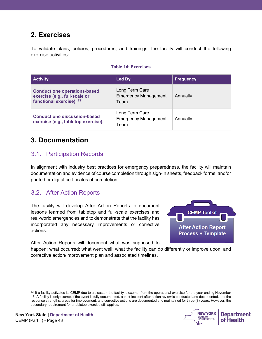### <span id="page-42-0"></span>**2. Exercises**

To validate plans, policies, procedures, and trainings, the facility will conduct the following exercise activities:

#### **Table 14: Exercises**

| <b>Activity</b>                                                                                  | Led By                                                | <b>Frequency</b> |
|--------------------------------------------------------------------------------------------------|-------------------------------------------------------|------------------|
| <b>Conduct one operations-based</b><br>exercise (e.g., full-scale or<br>functional exercise). 13 | Long Term Care<br><b>Emergency Management</b><br>Team | Annually         |
| <b>Conduct one discussion-based</b><br>exercise (e.g., tabletop exercise).                       | Long Term Care<br><b>Emergency Management</b><br>Team | Annually         |

### <span id="page-42-1"></span>**3. Documentation**

#### <span id="page-42-2"></span>3.1. Participation Records

In alignment with industry best practices for emergency preparedness, the facility will maintain documentation and evidence of course completion through sign-in sheets, feedback forms, and/or printed or digital certificates of completion.

#### <span id="page-42-3"></span>3.2. After Action Reports

The facility will develop After Action Reports to document lessons learned from tabletop and full-scale exercises and real-world emergencies and to demonstrate that the facility has incorporated any necessary improvements or corrective actions.



After Action Reports will document what was supposed to

happen; what occurred; what went well; what the facility can do differently or improve upon; and corrective action/improvement plan and associated timelines.



<span id="page-42-4"></span><sup>&</sup>lt;sup>13</sup> If a facility activates its CEMP due to a disaster, the facility is exempt from the operational exercise for the year ending November 15. A facility is only exempt if the event is fully documented, a post-incident after action review is conducted and documented, and the response strengths, areas for improvement, and corrective actions are documented and maintained for three (3) years. However, the secondary requirement for a tabletop exercise still applies.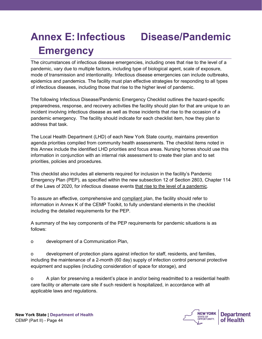## <span id="page-43-0"></span>**Annex E: Infectious Disease/Pandemic Emergency**

The circumstances of infectious disease emergencies, including ones that rise to the level of a pandemic, vary due to multiple factors, including type of biological agent, scale of exposure, mode of transmission and intentionality. Infectious disease emergencies can include outbreaks, epidemics and pandemics. The facility must plan effective strategies for responding to all types of infectious diseases, including those that rise to the higher level of pandemic.

The following Infectious Disease/Pandemic Emergency Checklist outlines the hazard-specific preparedness, response, and recovery activities the facility should plan for that are unique to an incident involving infectious disease as well as those incidents that rise to the occasion of a pandemic emergency. The facility should indicate for each checklist item, how they plan to address that task.

The Local Health Department (LHD) of each New York State county, maintains prevention agenda priorities compiled from community health assessments. The checklist items noted in this Annex include the identified LHD priorities and focus areas. Nursing homes should use this information in conjunction with an internal risk assessment to create their plan and to set priorities, policies and procedures.

This checklist also includes all elements required for inclusion in the facility's Pandemic Emergency Plan (PEP), as specified within the new subsection 12 of Section 2803, Chapter 114 of the Laws of 2020, for infectious disease events that rise to the level of a pandemic.

To assure an effective, comprehensive and compliant plan, the facility should refer to information in Annex K of the CEMP Toolkit, to fully understand elements in the checklist including the detailed requirements for the PEP.

A summary of the key components of the PEP requirements for pandemic situations is as follows:

o development of a Communication Plan,

o development of protection plans against infection for staff, residents, and families, including the maintenance of a 2-month (60 day) supply of infection control personal protective equipment and supplies (including consideration of space for storage), and

o A plan for preserving a resident's place in and/or being readmitted to a residential health care facility or alternate care site if such resident is hospitalized, in accordance with all applicable laws and regulations.

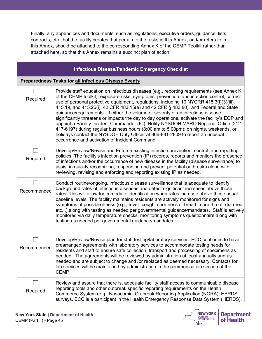Finally, any appendices and documents, such as regulations, executive orders, guidance, lists, contracts, etc. that the facility creates that pertain to the tasks in this Annex, and/or refers to in this Annex, should be attached to the corresponding Annex K of the CEMP Toolkit rather than attached here, so that this Annex remains a succinct plan of action.

| <b>Infectious Disease/Pandemic Emergency Checklist</b> |                                                                                                                                                                                                                                                                                                                                                                                                                                                                                                                                                                                                                                                                                                                                                                                                                                                                                     |
|--------------------------------------------------------|-------------------------------------------------------------------------------------------------------------------------------------------------------------------------------------------------------------------------------------------------------------------------------------------------------------------------------------------------------------------------------------------------------------------------------------------------------------------------------------------------------------------------------------------------------------------------------------------------------------------------------------------------------------------------------------------------------------------------------------------------------------------------------------------------------------------------------------------------------------------------------------|
|                                                        | Preparedness Tasks for all Infectious Disease Events                                                                                                                                                                                                                                                                                                                                                                                                                                                                                                                                                                                                                                                                                                                                                                                                                                |
| Required                                               | Provide staff education on infectious diseases (e.g., reporting requirements (see Annex K)<br>of the CEMP toolkit), exposure risks, symptoms, prevention, and infection control, correct<br>use of personal protective equipment, regulations, including 10 NYCRR 415.3(i)(3)(iii),<br>415.19, and 415.26(i); 42 CFR 483.15(e) and 42 CFR § 483.80), and Federal and State<br>guidance/requirements . If either the volume or severity of an infectious disease<br>significantly threatens or impacts the day to day operations, activate the facility's EOP and<br>appoint a Facility Incident Commander (IC). Notify NYSDOH MARO Regional Office (212-<br>417-6197) during regular business hours (8:00 am to 5:00pm); on nights, weekends, or<br>holidays contact the NYSDOH Duty Officer at 866-881-2809 to report an unusual<br>occurrence and activation of Incident Command. |
| Required                                               | Develop/Review/Revise and Enforce existing infection prevention, control, and reporting<br>policies. The facility's infection prevention (IP) records, reports and monitors the presence<br>of infections and/or the occurrence of new disease in the facility (disease surveillance) to<br>assist in quickly recognizing, responding and prevent potential outbreaks along with<br>reviewing, revising and enforcing and reporting existing IP as needed.                                                                                                                                                                                                                                                                                                                                                                                                                          |
| Recommended                                            | Conduct routine/ongoing, infectious disease surveillance that is adequate to identify<br>background rates of infectious diseases and detect significant increases above those<br>rates. This will allow for immediate identification when rates increase above these usual<br>baseline levels. The facility maintains residents are actively monitored for signs and<br>symptoms of possible illness (e.g., fever, cough, shortness of breath, sore throat, diarrhea<br>etc) along with testing as needed per governmental guidance/mandates. Staff is actively<br>monitored via daily temperature checks, monitoring symptoms questionnaire along with<br>testing as needed per governmental guidance/mandates.                                                                                                                                                                    |
| Recommended                                            | Develop/Review/Revise plan for staff testing/laboratory services. ECC continues to have<br>prearranged agreements with laboratory services to accommodate testing needs for<br>residents and staff to ensure safe collection, transport and processing of specimens as<br>needed. The agreements will be reviewed by administration at least annually and as<br>needed and are subject to change and /or replaced as deemed necessary. Contacts for<br>lab services will be maintained by administration in the communication section of the<br>CEMP.                                                                                                                                                                                                                                                                                                                               |
| Required                                               | Review and assure that there is, adequate facility staff access to communicable disease<br>reporting tools and other outbreak specific reporting requirements on the Health<br>Commerce System (e.g., Nosocomial Outbreak Reporting Application (NORA), HERDS<br>surveys. ECC is a participant in the Health Emergency Response Data System (HERDS).                                                                                                                                                                                                                                                                                                                                                                                                                                                                                                                                |

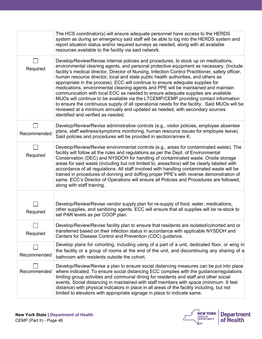|             | The HCS coordinator(s) will ensure adequate personnel have access to the HERDS<br>system as during an emergency said staff will be able to log into the HERDS system and<br>report situation status and/or required surveys as needed, along with all available<br>resources available to the facility via said network.                                                                                                                                                                                                                                                                                                                                                                                                                                                                                                                                                                                                                            |
|-------------|-----------------------------------------------------------------------------------------------------------------------------------------------------------------------------------------------------------------------------------------------------------------------------------------------------------------------------------------------------------------------------------------------------------------------------------------------------------------------------------------------------------------------------------------------------------------------------------------------------------------------------------------------------------------------------------------------------------------------------------------------------------------------------------------------------------------------------------------------------------------------------------------------------------------------------------------------------|
| Required    | Develop/Review/Revise internal policies and procedures, to stock up on medications,<br>environmental cleaning agents, and personal protective equipment as necessary. (Include<br>facility's medical director, Director of Nursing, Infection Control Practitioner, safety officer,<br>human resource director, local and state public health authorities, and others as<br>appropriate in the process). ECC will continue to ensure adequate supplies for<br>medications, environmental cleaning agents and PPE will be maintained and maintain<br>communication with local EOC as needed to ensure adequate supplies are available.<br>MUOs will continue to be available via the LTCEMP/CEMP providing contact information<br>to ensure the continuous supply of all operational needs for the facility. Said MUOs will be<br>reviewed at a minimum annually and updated as needed, with secondary sources<br>identified and verified as needed. |
| Recommended | Develop/Review/Revise administrative controls (e.g., visitor policies, employee absentee<br>plans, staff wellness/symptoms monitoring, human resource issues for employee leave).<br>Said policies and procedures will be provided in section/annex K.                                                                                                                                                                                                                                                                                                                                                                                                                                                                                                                                                                                                                                                                                              |
| Required    | Develop/Review/Revise environmental controls (e.g., areas for contaminated waste). The<br>facility will follow all the rules and regulations as per the Dept. of Environmental<br>Conservation (DEC) and NYSDOH for handling of contaminated waste. Onsite storage<br>areas for said waste (including but not limited to, areas/bins) will be clearly labeled with<br>accordance of all regulations. All staff involved with handling contaminated waste will be<br>trained in procedures of donning and doffing proper PPE's with reverse demonstration of<br>same. ECC's Director of Operations will ensure all Policies and Procedures are followed,<br>along with staff training.                                                                                                                                                                                                                                                               |
| Required    | Develop/Review/Revise vendor supply plan for re-supply of food, water, medications, $\Box$<br>33(MSSOLHMother supplies, and sanitizing agents. ECC will ensure that all supplies<br>will be re-stock to set PAR levels as per COOP plan.                                                                                                                                                                                                                                                                                                                                                                                                                                                                                                                                                                                                                                                                                                            |
| Required    | Develop/Review/Revise facility plan to ensure that residents are isolated/cohorted and or<br>transferred based on their infection status in accordance with applicable NYSDOH and<br>Centers for Disease Control and Prevention (CDC) guidance.                                                                                                                                                                                                                                                                                                                                                                                                                                                                                                                                                                                                                                                                                                     |
| Recommended | Develop plans for cohorting, including using of a part of a unit, dedicated floor, or wing in<br>the facility or a group of rooms at the end of the unit, and discontinuing any sharing of a<br>bathroom with residents outside the cohort.                                                                                                                                                                                                                                                                                                                                                                                                                                                                                                                                                                                                                                                                                                         |
| Recommended | Develop/Review/Revise a plan to ensure social distancing measures can be put into place<br>where indicated. To ensure social distancing ECC complies with the guidance/regulations<br>limiting group activities and communal dining for residents and staff and other social<br>events. Social distancing in maintained with staff members with space (minimum 6 feet<br>distance) with physical indicators in place in all areas of the facility including, but not<br>limited to elevators with appropriate signage in place to indicate same.                                                                                                                                                                                                                                                                                                                                                                                                    |

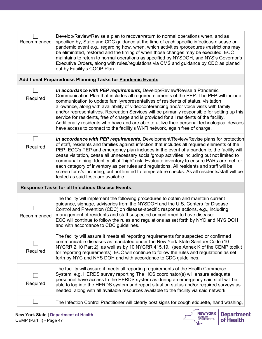| Recommended | Develop/Review/Revise a plan to recover/return to normal operations when, and as<br>specified by, State and CDC guidance at the time of each specific infectious disease or<br>pandemic event e.g., regarding how, when, which activities /procedures /restrictions may<br>be eliminated, restored and the timing of when those changes may be executed. ECC<br>maintains to return to normal operations as specified by NYSDOH, and NYS's Governor's<br>Executive Orders, along with rules/regulations via CMS and guidance by CDC as planed<br>out by Facility's COOP Plan.                                                                                                                                                  |
|-------------|--------------------------------------------------------------------------------------------------------------------------------------------------------------------------------------------------------------------------------------------------------------------------------------------------------------------------------------------------------------------------------------------------------------------------------------------------------------------------------------------------------------------------------------------------------------------------------------------------------------------------------------------------------------------------------------------------------------------------------|
|             | <b>Additional Preparedness Planning Tasks for Pandemic Events</b>                                                                                                                                                                                                                                                                                                                                                                                                                                                                                                                                                                                                                                                              |
| Required    | In accordance with PEP requirements, Develop/Review/Revise a Pandemic<br>Communication Plan that includes all required elements of the PEP. The PEP will include<br>communication to update family/representatives of residents of status, visitation<br>allowance, along with availability of videoconferencing and/or voice visits with family<br>and/or representatives. Recreation Services will be primarily responsible for setting up this<br>service for residents, free of charge and is provided for all residents of the facility.<br>Additionally residents who have and are able to utilize their personal technological devices<br>have access to connect to the facility's Wi-Fi network, again free of charge. |
| Required    | In accordance with PEP requirements, Development/Review/Revise plans for protection<br>of staff, residents and families against infection that includes all required elements of the<br>PEP. ECC's PEP and emergency plan includes in the event of a pandemic, the facility will<br>cease visitation, cease all unnecessary social/group activities including but not limited to<br>communal dining. Identify all at "high" risk. Evaluate inventory to ensure PARs are met for<br>each category of inventory as per rules and regulations. All residents and staff will be<br>screen for s/s including, but not limited to temperature checks. As all residents/staff will be<br>tested as said tests are available.          |
|             | <b>Response Tasks for all Infectious Disease Events:</b>                                                                                                                                                                                                                                                                                                                                                                                                                                                                                                                                                                                                                                                                       |
| Recommended | The facility will implement the following procedures to obtain and maintain current<br>guidance, signage, advisories from the NYSDOH and the U.S. Centers for Disease<br>Control and Prevention (CDC) on disease-specific response actions, e.g., including<br>management of residents and staff suspected or confirmed to have disease:<br>ECC will continue to follow the rules and regulations as set forth by NYC and NYS DOH<br>and with accordance to CDC guidelines.                                                                                                                                                                                                                                                    |
| Required    | The facility will assure it meets all reporting requirements for suspected or confirmed<br>communicable diseases as mandated under the New York State Sanitary Code (10<br>NYCRR 2.10 Part 2), as well as by 10 NYCRR 415.19. (see Annex K of the CEMP toolkit<br>for reporting requirements). ECC will continue to follow the rules and regulations as set<br>forth by NYC and NYS DOH and with accordance to CDC guidelines.                                                                                                                                                                                                                                                                                                 |
| Required    | The facility will assure it meets all reporting requirements of the Health Commerce<br>System, e.g. HERDS survey reporting The HCS coordinator(s) will ensure adequate<br>personnel have access to the HERDS system as during an emergency said staff will be<br>able to log into the HERDS system and report situation status and/or required surveys as<br>needed, along with all available resources available to the facility via said network.                                                                                                                                                                                                                                                                            |
|             | The Infection Control Practitioner will clearly post signs for cough etiquette, hand washing,                                                                                                                                                                                                                                                                                                                                                                                                                                                                                                                                                                                                                                  |

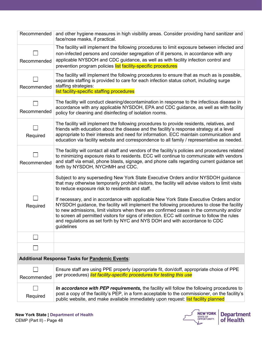| Recommended | and other hygiene measures in high visibility areas. Consider providing hand sanitizer and<br>face/nose masks, if practical.                                                                                                                                                                                                                                                                                                                                                                                                                                                                                                                                                                                                   |
|-------------|--------------------------------------------------------------------------------------------------------------------------------------------------------------------------------------------------------------------------------------------------------------------------------------------------------------------------------------------------------------------------------------------------------------------------------------------------------------------------------------------------------------------------------------------------------------------------------------------------------------------------------------------------------------------------------------------------------------------------------|
| Recommended | The facility will implement the following procedures to limit exposure between infected and<br>non-infected persons and consider segregation of ill persons, in accordance with any<br>applicable NYSDOH and CDC guidance, as well as with facility infection control and<br>prevention program policies list facility-specific procedures                                                                                                                                                                                                                                                                                                                                                                                     |
| Recommended | The facility will implement the following procedures to ensure that as much as is possible,<br>separate staffing is provided to care for each infection status cohort, including surge<br>staffing strategies:<br>list facility-specific staffing procedures                                                                                                                                                                                                                                                                                                                                                                                                                                                                   |
| Recommended | The facility will conduct cleaning/decontamination in response to the infectious disease in<br>accordance with any applicable NYSDOH, EPA and CDC guidance, as well as with facility<br>policy for cleaning and disinfecting of isolation rooms.                                                                                                                                                                                                                                                                                                                                                                                                                                                                               |
| Required    | The facility will implement the following procedures to provide residents, relatives, and<br>friends with education about the disease and the facility's response strategy at a level<br>appropriate to their interests and need for information. ECC maintain communication and<br>education via facility website and correspondence to all family / representative as needed.                                                                                                                                                                                                                                                                                                                                                |
| Recommended | The facility will contact all staff and vendors of the facility's policies and procedures related<br>to minimizing exposure risks to residents. ECC will continue to communicate with vendors<br>and staff via email, phone blasts, signage, and phone calls regarding current guidance set<br>forth by NYSDOH, NYCHMH and CDC.                                                                                                                                                                                                                                                                                                                                                                                                |
| Required    | Subject to any superseding New York State Executive Orders and/or NYSDOH guidance<br>that may otherwise temporarily prohibit visitors, the facility will advise visitors to limit visits<br>to reduce exposure risk to residents and staff.<br>If necessary, and in accordance with applicable New York State Executive Orders and/or<br>NYSDOH guidance, the facility will implement the following procedures to close the facility<br>to new admissions, limit visitors when there are confirmed cases in the community and/or<br>to screen all permitted visitors for signs of infection. ECC will continue to follow the rules<br>and regulations as set forth by NYC and NYS DOH and with accordance to CDC<br>guidelines |
|             |                                                                                                                                                                                                                                                                                                                                                                                                                                                                                                                                                                                                                                                                                                                                |
|             |                                                                                                                                                                                                                                                                                                                                                                                                                                                                                                                                                                                                                                                                                                                                |
|             | <b>Additional Response Tasks for Pandemic Events:</b>                                                                                                                                                                                                                                                                                                                                                                                                                                                                                                                                                                                                                                                                          |
| Recommended | Ensure staff are using PPE properly (appropriate fit, don/doff, appropriate choice of PPE<br>per procedures) list facility-specific procedures for testing this use                                                                                                                                                                                                                                                                                                                                                                                                                                                                                                                                                            |
| Required    | In accordance with PEP requirements, the facility will follow the following procedures to<br>post a copy of the facility's PEP, in a form acceptable to the commissioner, on the facility's<br>public website, and make available immediately upon request: list facility planned                                                                                                                                                                                                                                                                                                                                                                                                                                              |

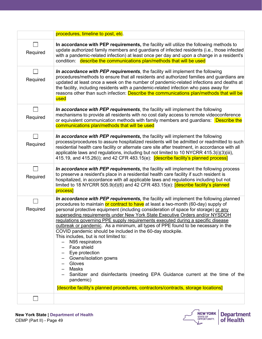| In accordance with PEP requirements, the facility will utilize the following methods to<br>update authorized family members and guardians of infected residents (i.e., those infected<br>Required<br>with a pandemic-related infection) at least once per day and upon a change in a resident's<br>condition: describe the communications plan/methods that will be used<br>In accordance with PEP requirements, the facility will implement the following<br>procedures/methods to ensure that all residents and authorized families and guardians are<br>Required<br>updated at least once a week on the number of pandemic-related infections and deaths at<br>the facility, including residents with a pandemic-related infection who pass away for<br>reasons other than such infection: Describe the communications plan/methods that will be<br>used<br>In accordance with PEP requirements, the facility will implement the following<br>mechanisms to provide all residents with no cost daily access to remote videoconference<br>Required<br>or equivalent communication methods with family members and guardians: <b>Describe the</b><br>communications plan/methods that will be used<br>In accordance with PEP requirements, the facility will implement the following<br>process/procedures to assure hospitalized residents will be admitted or readmitted to such<br>Required<br>residential health care facility or alternate care site after treatment, in accordance with all<br>applicable laws and regulations, including but not limited to 10 NYCRR 415.3(i)(3)(iii),<br>415.19, and 415.26(i); and 42 CFR 483.15(e): [describe facility's planned process]<br>In accordance with PEP requirements, the facility will implement the following process<br>to preserve a resident's place in a residential health care facility if such resident is<br>Required<br>hospitalized, in accordance with all applicable laws and regulations including but not<br>limited to 18 NYCRR 505.9(d)(6) and 42 CFR 483.15(e): [describe facility's planned<br>process]<br>In accordance with PEP requirements, the facility will implement the following planned<br>procedures to maintain or contract to have at least a two-month (60-day) supply of<br>Required<br>personal protective equipment (including consideration of space for storage) or any<br>superseding requirements under New York State Executive Orders and/or NYSDOH<br>regulations governing PPE supply requirements executed during a specific disease<br>outbreak or pandemic. As a minimum, all types of PPE found to be necessary in the<br>COVID pandemic should be included in the 60-day stockpile.<br>This includes, but is not limited to:<br>N95 respirators<br>Face shield<br>Eye protection<br>Gowns/isolation gowns<br>Gloves<br><b>Masks</b><br>pandemic)<br>[describe facility's planned procedures, contractors/contracts, storage locations] | procedures, timeline to post, etc. |
|-------------------------------------------------------------------------------------------------------------------------------------------------------------------------------------------------------------------------------------------------------------------------------------------------------------------------------------------------------------------------------------------------------------------------------------------------------------------------------------------------------------------------------------------------------------------------------------------------------------------------------------------------------------------------------------------------------------------------------------------------------------------------------------------------------------------------------------------------------------------------------------------------------------------------------------------------------------------------------------------------------------------------------------------------------------------------------------------------------------------------------------------------------------------------------------------------------------------------------------------------------------------------------------------------------------------------------------------------------------------------------------------------------------------------------------------------------------------------------------------------------------------------------------------------------------------------------------------------------------------------------------------------------------------------------------------------------------------------------------------------------------------------------------------------------------------------------------------------------------------------------------------------------------------------------------------------------------------------------------------------------------------------------------------------------------------------------------------------------------------------------------------------------------------------------------------------------------------------------------------------------------------------------------------------------------------------------------------------------------------------------------------------------------------------------------------------------------------------------------------------------------------------------------------------------------------------------------------------------------------------------------------------------------------------------------------------------------------------------------------------------------------------------------------------------------------------------------------------------------------------------------------------------------------------------------------------|------------------------------------|
| Sanitizer and disinfectants (meeting EPA Guidance current at the time of the                                                                                                                                                                                                                                                                                                                                                                                                                                                                                                                                                                                                                                                                                                                                                                                                                                                                                                                                                                                                                                                                                                                                                                                                                                                                                                                                                                                                                                                                                                                                                                                                                                                                                                                                                                                                                                                                                                                                                                                                                                                                                                                                                                                                                                                                                                                                                                                                                                                                                                                                                                                                                                                                                                                                                                                                                                                                    |                                    |
|                                                                                                                                                                                                                                                                                                                                                                                                                                                                                                                                                                                                                                                                                                                                                                                                                                                                                                                                                                                                                                                                                                                                                                                                                                                                                                                                                                                                                                                                                                                                                                                                                                                                                                                                                                                                                                                                                                                                                                                                                                                                                                                                                                                                                                                                                                                                                                                                                                                                                                                                                                                                                                                                                                                                                                                                                                                                                                                                                 |                                    |
|                                                                                                                                                                                                                                                                                                                                                                                                                                                                                                                                                                                                                                                                                                                                                                                                                                                                                                                                                                                                                                                                                                                                                                                                                                                                                                                                                                                                                                                                                                                                                                                                                                                                                                                                                                                                                                                                                                                                                                                                                                                                                                                                                                                                                                                                                                                                                                                                                                                                                                                                                                                                                                                                                                                                                                                                                                                                                                                                                 |                                    |
|                                                                                                                                                                                                                                                                                                                                                                                                                                                                                                                                                                                                                                                                                                                                                                                                                                                                                                                                                                                                                                                                                                                                                                                                                                                                                                                                                                                                                                                                                                                                                                                                                                                                                                                                                                                                                                                                                                                                                                                                                                                                                                                                                                                                                                                                                                                                                                                                                                                                                                                                                                                                                                                                                                                                                                                                                                                                                                                                                 |                                    |
|                                                                                                                                                                                                                                                                                                                                                                                                                                                                                                                                                                                                                                                                                                                                                                                                                                                                                                                                                                                                                                                                                                                                                                                                                                                                                                                                                                                                                                                                                                                                                                                                                                                                                                                                                                                                                                                                                                                                                                                                                                                                                                                                                                                                                                                                                                                                                                                                                                                                                                                                                                                                                                                                                                                                                                                                                                                                                                                                                 |                                    |
|                                                                                                                                                                                                                                                                                                                                                                                                                                                                                                                                                                                                                                                                                                                                                                                                                                                                                                                                                                                                                                                                                                                                                                                                                                                                                                                                                                                                                                                                                                                                                                                                                                                                                                                                                                                                                                                                                                                                                                                                                                                                                                                                                                                                                                                                                                                                                                                                                                                                                                                                                                                                                                                                                                                                                                                                                                                                                                                                                 |                                    |
|                                                                                                                                                                                                                                                                                                                                                                                                                                                                                                                                                                                                                                                                                                                                                                                                                                                                                                                                                                                                                                                                                                                                                                                                                                                                                                                                                                                                                                                                                                                                                                                                                                                                                                                                                                                                                                                                                                                                                                                                                                                                                                                                                                                                                                                                                                                                                                                                                                                                                                                                                                                                                                                                                                                                                                                                                                                                                                                                                 |                                    |